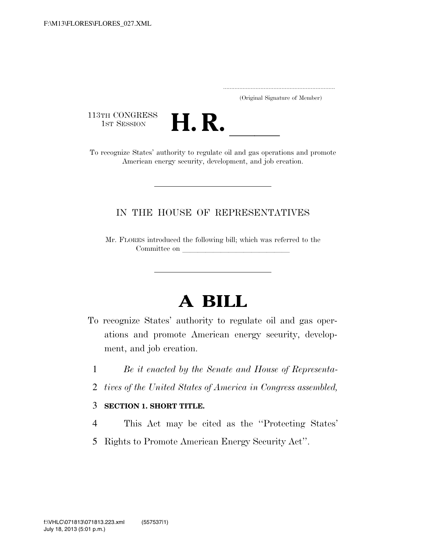..................................................................... (Original Signature of Member)

113TH CONGRESS<br>1st Session



113TH CONGRESS<br>1st SESSION<br>To recognize States' authority to regulate oil and gas operations and promote American energy security, development, and job creation.

## IN THE HOUSE OF REPRESENTATIVES

Mr. FLORES introduced the following bill; which was referred to the Committee on

## **A BILL**

- To recognize States' authority to regulate oil and gas operations and promote American energy security, development, and job creation.
	- 1 *Be it enacted by the Senate and House of Representa-*
	- 2 *tives of the United States of America in Congress assembled,*

## 3 **SECTION 1. SHORT TITLE.**

- 4 This Act may be cited as the ''Protecting States'
- 5 Rights to Promote American Energy Security Act''.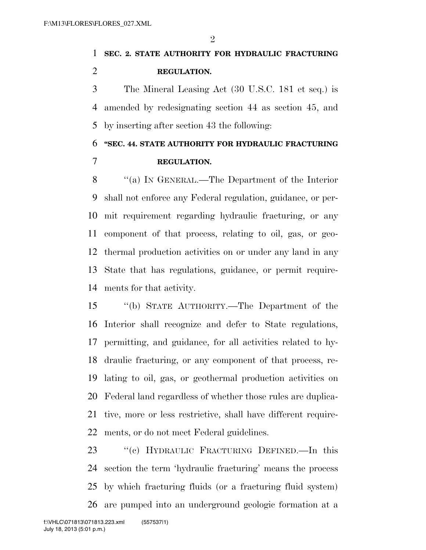**SEC. 2. STATE AUTHORITY FOR HYDRAULIC FRACTURING REGULATION.** 

 The Mineral Leasing Act (30 U.S.C. 181 et seq.) is amended by redesignating section 44 as section 45, and by inserting after section 43 the following:

## **''SEC. 44. STATE AUTHORITY FOR HYDRAULIC FRACTURING REGULATION.**

 ''(a) IN GENERAL.—The Department of the Interior shall not enforce any Federal regulation, guidance, or per- mit requirement regarding hydraulic fracturing, or any component of that process, relating to oil, gas, or geo- thermal production activities on or under any land in any State that has regulations, guidance, or permit require-ments for that activity.

 ''(b) STATE AUTHORITY.—The Department of the Interior shall recognize and defer to State regulations, permitting, and guidance, for all activities related to hy- draulic fracturing, or any component of that process, re- lating to oil, gas, or geothermal production activities on Federal land regardless of whether those rules are duplica- tive, more or less restrictive, shall have different require-ments, or do not meet Federal guidelines.

 ''(c) HYDRAULIC FRACTURING DEFINED.—In this section the term 'hydraulic fracturing' means the process by which fracturing fluids (or a fracturing fluid system) are pumped into an underground geologic formation at a